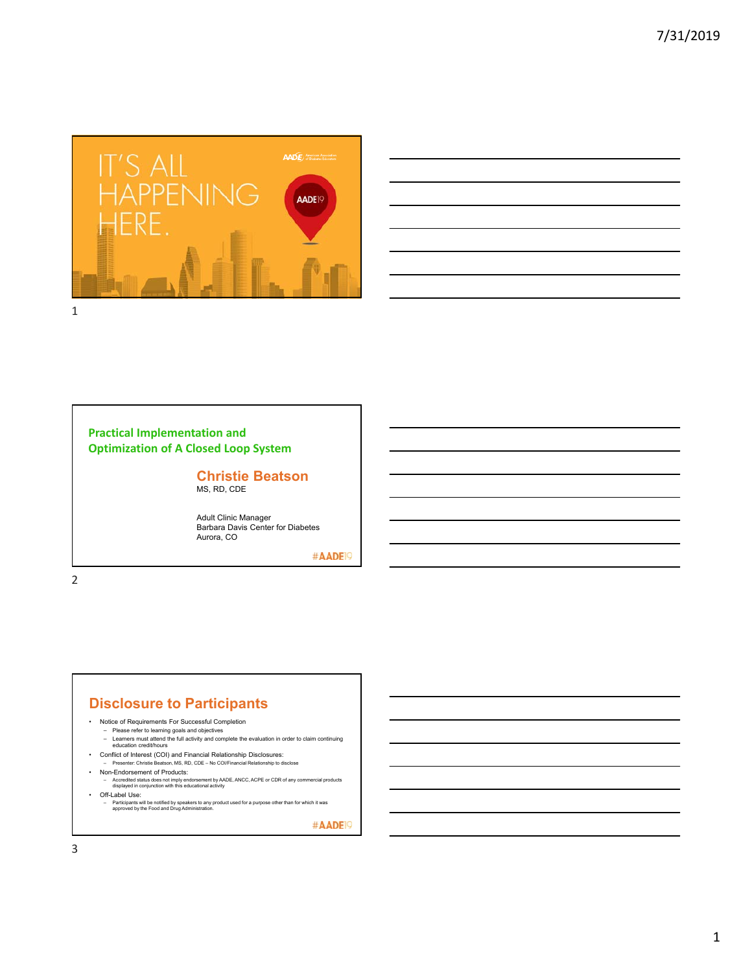



# **Practical Implementation and Optimization of A Closed Loop System**

#### **Christie Beatson** MS, RD, CDE

Adult Clinic Manager Barbara Davis Center for Diabetes Aurora, CO

#AADE<sup>19</sup>

2

# **Disclosure to Participants**

- Notice of Requirements For Successful Completion
	-
	- Please refer to learning goals and objectives Learners must attend the full activity and complete the evaluation in order to claim continuing education credit/hours
- Conflict of Interest (COI) and Financial Relationship Disclosures: Presenter: Christie Beatson, MS, RD, CDE No COI/Financial Relationship to disclose
- 
- Non-Endorsement of Products:
	- Accredited status does not imply endorsement by AADE, ANCC, ACPE or CDR of any commercial products displayed in conjunction with this educational activity
- Off-Label Use:
	- Participants will be notified by speakers to any product used for a purpose other than for which it was approved by the Food and Drug Administration.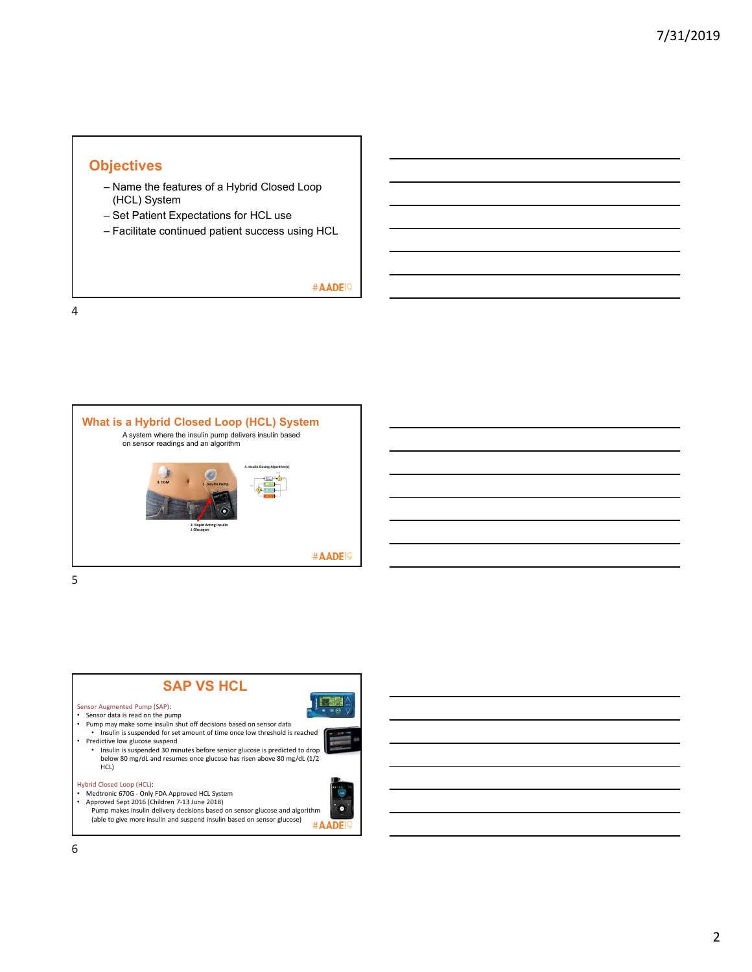# **Objectives**

- Name the features of a Hybrid Closed Loop (HCL) System
- Set Patient Expectations for HCL use
- Facilitate continued patient success using HCL

### #AADE<sup>19</sup>

4



5

#### **SAP VS HCL** IE Sensor Augmented Pump (SAP): • Sensor data is read on the pump<br>• Pump may make some insulin shut off decisions based on sensor data<br>• Insulin is suspended for set amount of time once low threshold is reached • Predictive low glucose suspend • Insulin is suspended 30 minutes before sensor glucose is predicted to drop below 80 mg/dL and resumes once glucose has risen above 80 mg/dL (1/2 HCL) Hybrid Closed Loop (HCL): 115 • Medtronic 670G − Only FDA Approved HCL System<br>• Approved Sept 2016 (Children 7-13 June 2018)<br>• Pump makes insulin delivery decisions based on sensor glucose and algorithm â (able to give more insulin and suspend insulin based on sensor glucose)

#AADE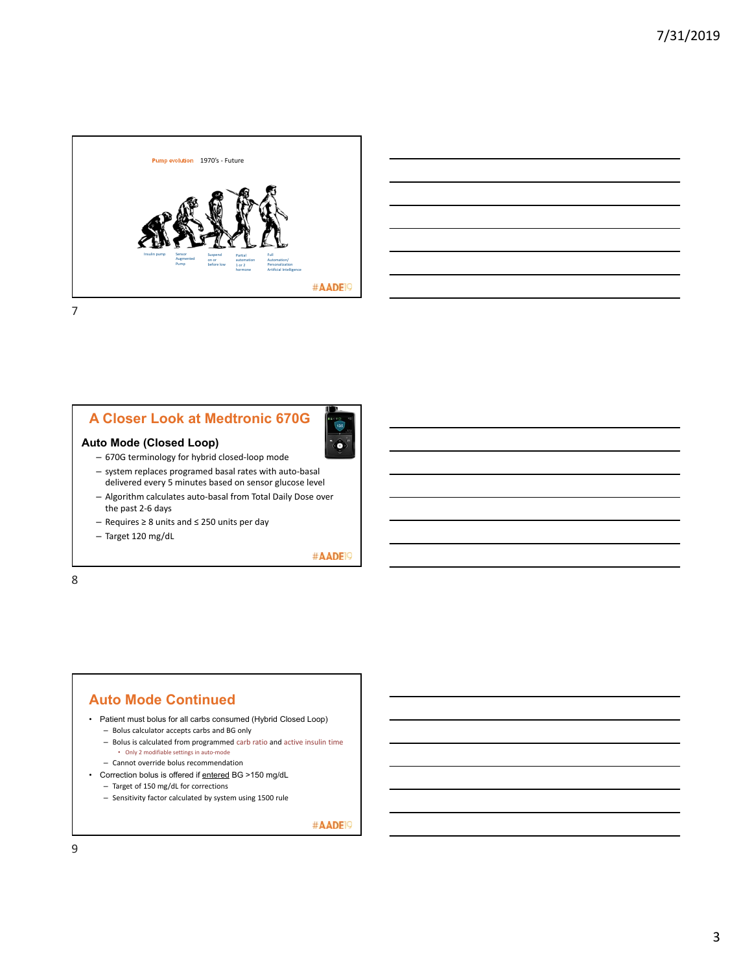

| <u> 1989 - Johann Barn, amerikan bernama di sebagai bernama dan bernama di sebagai bernama di sebagai bernama di</u>   |  |  |
|------------------------------------------------------------------------------------------------------------------------|--|--|
| <u> 1989 - Johann Stoff, amerikansk politiker (d. 1989)</u>                                                            |  |  |
| <u> 1989 - Johann Barn, amerikan bernama di sebagai bernama dan bernama di sebagai bernama dalam bernama dalam b</u>   |  |  |
|                                                                                                                        |  |  |
| <u> 1989 - Johann Barn, mars ann an t-Amhainn an t-Amhainn an t-Amhainn an t-Amhainn an t-Amhainn an t-Amhainn an</u>  |  |  |
| <u> 1989 - Johann Barn, mars ann an t-Amhain ann an t-Amhain ann an t-Amhain ann an t-Amhain ann an t-Amhain ann a</u> |  |  |
|                                                                                                                        |  |  |

## **A Closer Look at Medtronic 670G**



## **Auto Mode (Closed Loop)**

- 670G terminology for hybrid closed‐loop mode – system replaces programed basal rates with auto‐basal delivered every 5 minutes based on sensor glucose level
- Algorithm calculates auto‐basal from Total Daily Dose over the past 2‐6 days
- Requires ≥ 8 units and ≤ 250 units per day
- Target 120 mg/dL

#AADE<sup>19</sup>

8

## **Auto Mode Continued**

- Patient must bolus for all carbs consumed (Hybrid Closed Loop)
	- Bolus calculator accepts carbs and BG only
	- Bolus is calculated from programmed carb ratio and active insulin time • Only 2 modifiable settings in auto‐mode
	- Cannot override bolus recommendation
- Correction bolus is offered if entered BG >150 mg/dL
	- Target of 150 mg/dL for corrections
	- Sensitivity factor calculated by system using 1500 rule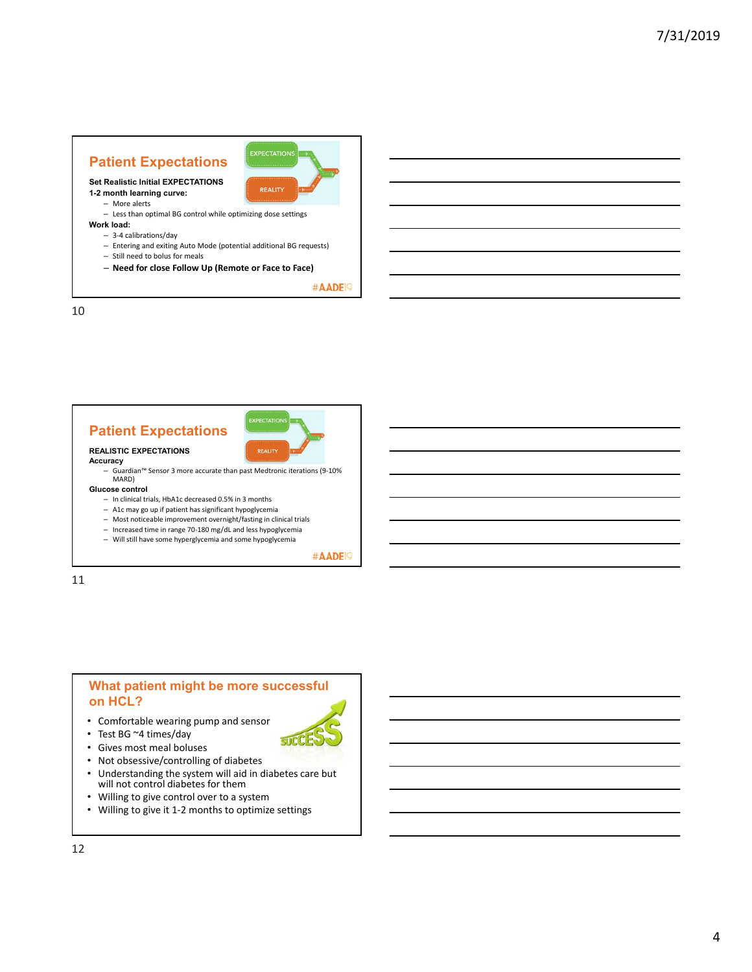# **Patient Expectations**



**Set Realistic Initial EXPECTATIONS 1-2 month learning curve:** 

- More alerts
- Less than optimal BG control while optimizing dose settings
- **Work load:**
	- 3‐4 calibrations/day
	- Entering and exiting Auto Mode (potential additional BG requests)
	- Still need to bolus for meals
	- **Need for close Follow Up (Remote or Face to Face)**

#AADE<sup>19</sup>

10

# **Patient Expectations**



**SUCC** 

#### **REALISTIC EXPECTATIONS Accuracy**

- 
- Guardian™ Sensor 3 more accurate than past Medtronic iterations (9‐10% MARD)

#### **Glucose control**

- In clinical trials, HbA1c decreased 0.5% in 3 months – A1c may go up if patient has significant hypoglycemia
- Most noticeable improvement overnight/fasting in clinical trials
- Increased time in range 70‐180 mg/dL and less hypoglycemia
- Will still have some hyperglycemia and some hypoglycemia

#AADE<sup>19</sup>

11

# **What patient might be more successful on HCL?**

- Comfortable wearing pump and sensor
- Test BG ~4 times/day
- Gives most meal boluses
- Not obsessive/controlling of diabetes
- Understanding the system will aid in diabetes care but will not control diabetes for them
- Willing to give control over to a system
- Willing to give it 1‐2 months to optimize settings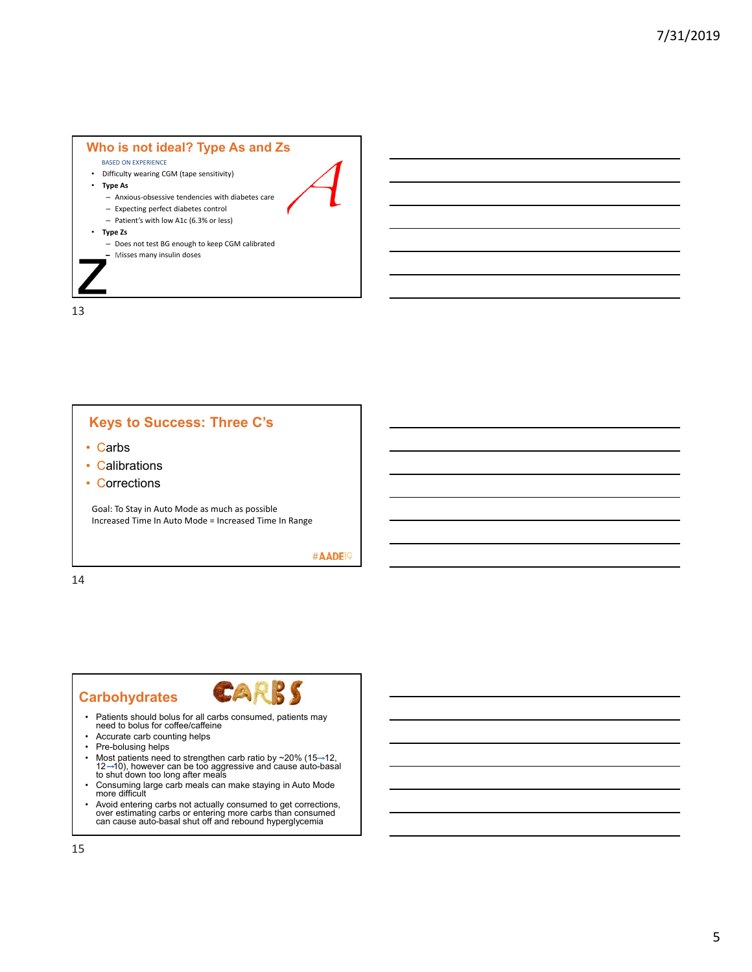#### **Who is not ideal? Type As and Zs**

- BASED ON EXPERIENCE
- Difficulty wearing CGM (tape sensitivity)
- **Type As**
	- Anxious‐obsessive tendencies with diabetes care
	- Expecting perfect diabetes control
	- Patient's with low A1c (6.3% or less)
- **Type Zs**
	- Does not test BG enough to keep CGM calibrated – Misses many insulin doses

13

# **Keys to Success: Three C's**

- Carbs
- Calibrations
- Corrections

Goal: To Stay in Auto Mode as much as possible Increased Time In Auto Mode = Increased Time In Range

#AADE<sup>19</sup>

14

# **Carbohydrates**



- Patients should bolus for all carbs consumed, patients may need to bolus for coffee/caffeine
- Accurate carb counting helps
- Pre-bolusing helps
- Most patients need to strengthen carb ratio by ∼20% (15⊸12,<br>12 –10), however can be too aggressive and cause auto-basal<br>to shut down too long after meals
- Consuming large carb meals can make staying in Auto Mode more difficult
- Avoid entering carbs not actually consumed to get corrections, over estimating carbs or entering more carbs than consumed can cause auto-basal shut off and rebound hyperglycemia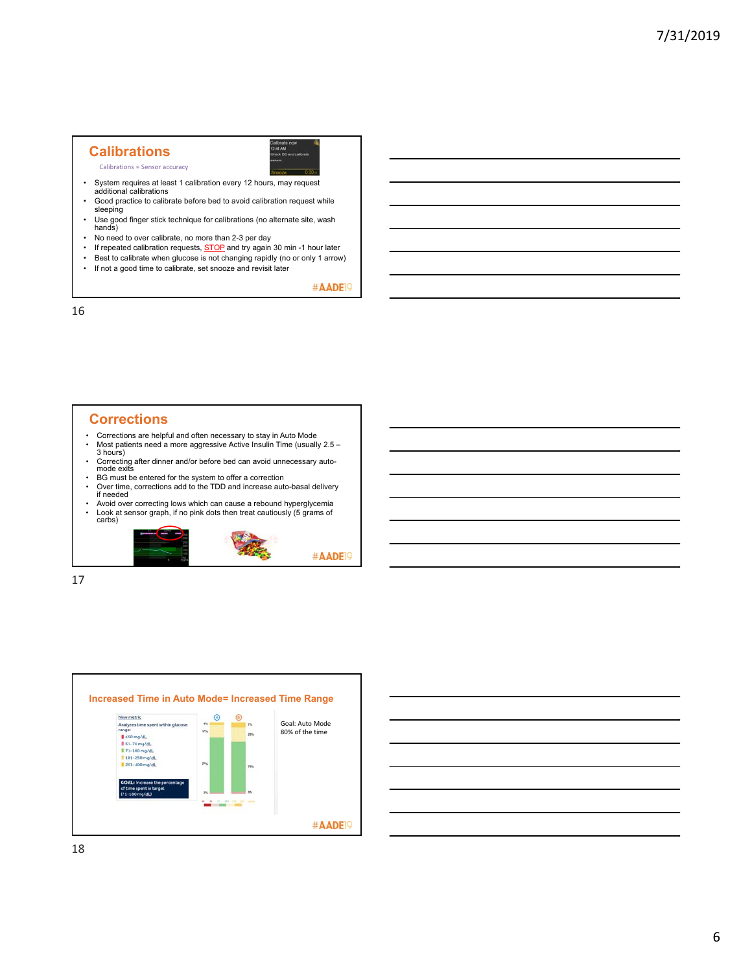### **Calibrations**

Calibrations = Sensor accuracy

- System requires at least 1 calibration every 12 hours, may request additional calibrations
- Good practice to calibrate before bed to avoid calibration request while sleeping

44 AM<br>eck BC

- Use good finger stick technique for calibrations (no alternate site, wash hands)
- No need to over calibrate, no more than 2-3 per day<br>• If repeated calibration requests, STOP and try again
- **FORT FORT CONSUMERT** FOR THE TERM IS THE TERM OF PERTURN THE REPORT OF THE REPORT OF THE REPORT OF THE REPORT OF THE REPORT OF THE REPORT OF THE REPORT OF THE REPORT OF THE REPORT OF THE REPORT OF THE REPORT OF THE REPORT
- Best to calibrate when glucose is not changing rapidly (no or only 1 arrow)
- If not a good time to calibrate, set snooze and revisit later

#AADE<sup>19</sup>

16

# **Corrections**

- Corrections are helpful and often necessary to stay in Auto Mode Most patients need a more aggressive Active Insulin Time (usually 2.5 3 hours)
- Correcting after dinner and/or before bed can avoid unnecessary auto-mode exits BG must be entered for the system to offer a correction Over time, corrections add to the TDD and increase auto-basal delivery if needed
- 
- 
- Avoid over correcting lows which can cause a rebound hyperglycemia • Look at sensor graph, if no pink dots then treat cautiously (5 grams of carbs)



17



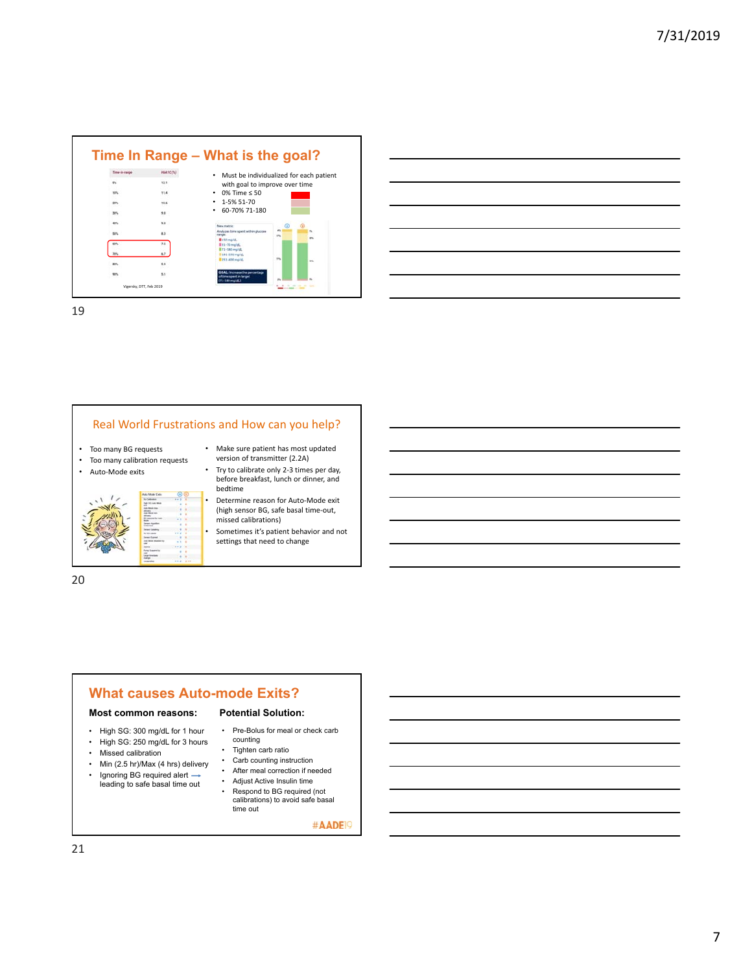

19

### Real World Frustrations and How can you help?

- Too many BG requests
- Too many calibration requests
- Auto‐Mode exits



• Make sure patient has most updated version of transmitter (2.2A) • Try to calibrate only 2-3 times per day,

- before breakfast, lunch or dinner, and bedtime
- Determine reason for Auto‐Mode exit (high sensor BG, safe basal time‐out, missed calibrations)
- Sometimes it's patient behavior and not settings that need to change



## **What causes Auto-mode Exits? Potential Solution:**

#### **Most common reasons:**

- High SG: 300 mg/dL for 1 hour
- High SG: 250 mg/dL for 3 hours
- Missed calibration
- Min (2.5 hr)/Max (4 hrs) delivery
- Ignoring BG required alert  $\rightarrow$ leading to safe basal time out
- Tighten carb ratio • Carb counting instruction<br>• After meal correction if ne After meal correction if needed

counting

• Pre-Bolus for meal or check carb

- Adjust Active Insulin time Respond to BG required (not
- calibrations) to avoid safe basal time out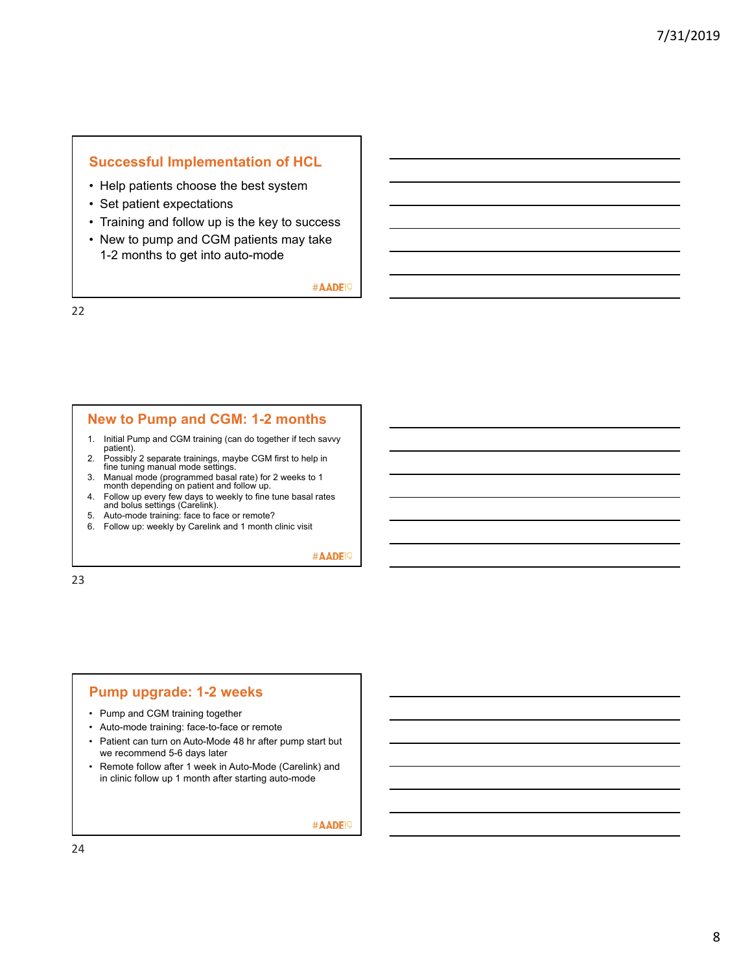# **Successful Implementation of HCL**

- Help patients choose the best system
- Set patient expectations
- Training and follow up is the key to success
- New to pump and CGM patients may take 1-2 months to get into auto-mode

#AADE<sup>19</sup>

22

### **New to Pump and CGM: 1-2 months**

- 1. Initial Pump and CGM training (can do together if tech savvy patient).
- 2. Possibly 2 separate trainings, maybe CGM first to help in fine tuning manual mode settings.
- 3. Manual mode (programmed basal rate) for 2 weeks to 1 month depending on patient and follow up.
- 4. Follow up every few days to weekly to fine tune basal rates and bolus settings (Carelink).
- 5. Auto-mode training: face to face or remote?
- 6. Follow up: weekly by Carelink and 1 month clinic visit

#AADE<sup>19</sup>

23

# **Pump upgrade: 1-2 weeks**

- Pump and CGM training together
- Auto-mode training: face-to-face or remote
- Patient can turn on Auto-Mode 48 hr after pump start but we recommend 5-6 days later
- Remote follow after 1 week in Auto-Mode (Carelink) and in clinic follow up 1 month after starting auto-mode